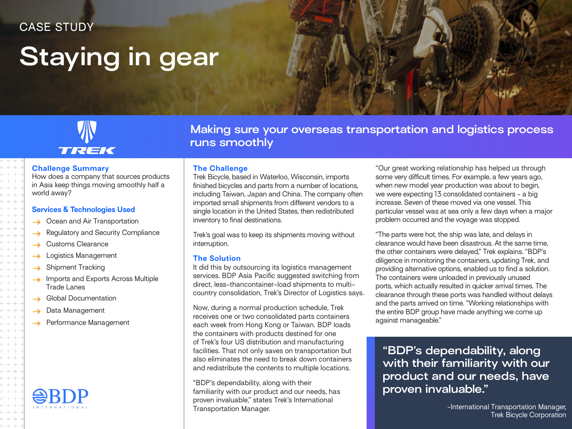### CASE STUDY

## **Staying in gear**

# TREK

#### **Challenge Summary**

How does a company that sources products in Asia keep things moving smoothly half a world away?

#### **Services & Technologies Used**

- Ocean and Air Transportation
- Regulatory and Security Compliance
- Customs Clearance  $\rightarrow$
- Logistics Management  $\rightarrow$
- Shipment Tracking
- Imports and Exports Across Multiple Trade Lanes
- Global Documentation
- Data Management
- $\rightarrow$  Performance Management



**Making sure your overseas transportation and logistics process runs smoothly**

#### **The Challenge**

Trek Bicycle, based in Waterloo, Wisconsin, imports finished bicycles and parts from a number of locations, including Taiwan, Japan and China. The company often imported small shipments from different vendors to a single location in the United States, then redistributed inventory to final destinations.

Trek's goal was to keep its shipments moving without interruption.

#### **The Solution**

It did this by outsourcing its logistics management services. BDP Asia Pacific suggested switching from direct, less-thancontainer-load shipments to multicountry consolidation, Trek's Director of Logistics says.

Now, during a normal production schedule, Trek receives one or two consolidated parts containers each week from Hong Kong or Taiwan. BDP loads the containers with products destined for one of Trek's four US distribution and manufacturing facilities. That not only saves on transportation but also eliminates the need to break down containers and redistribute the contents to multiple locations.

"BDP's dependability, along with their familiarity with our product and our needs, has proven invaluable," states Trek's International Transportation Manager.

"Our great working relationship has helped us through some very difficult times. For example, a few years ago, when new model year production was about to begin, we were expecting 13 consolidated containers - a big increase. Seven of these moved via one vessel. This particular vessel was at sea only a few days when a major problem occurred and the voyage was stopped.

"The parts were hot, the ship was late, and delays in clearance would have been disastrous. At the same time, the other containers were delayed," Trek explains. "BDP's diligence in monitoring the containers, updating Trek, and providing alternative options, enabled us to find a solution. The containers were unloaded in previously unused ports, which actually resulted in quicker arrival times. The clearance through these ports was handled without delays and the parts arrived on time. "Working relationships with the entire BDP group have made anything we come up against manageable."

**"BDP's dependability, along with their familiarity with our product and our needs, have proven invaluable."**

> -International Transportation Manager, Trek Bicycle Corporation